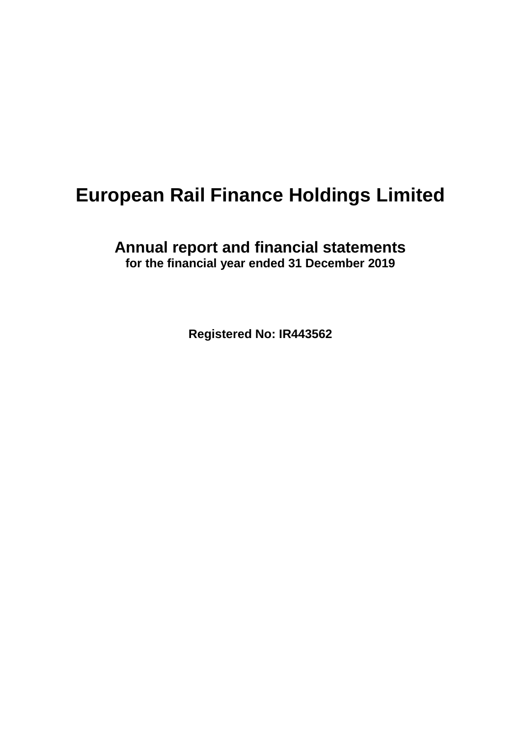# **European Rail Finance Holdings Limited**

# **Annual report and financial statements**

**for the financial year ended 31 December 2019** 

**Registered No: IR443562**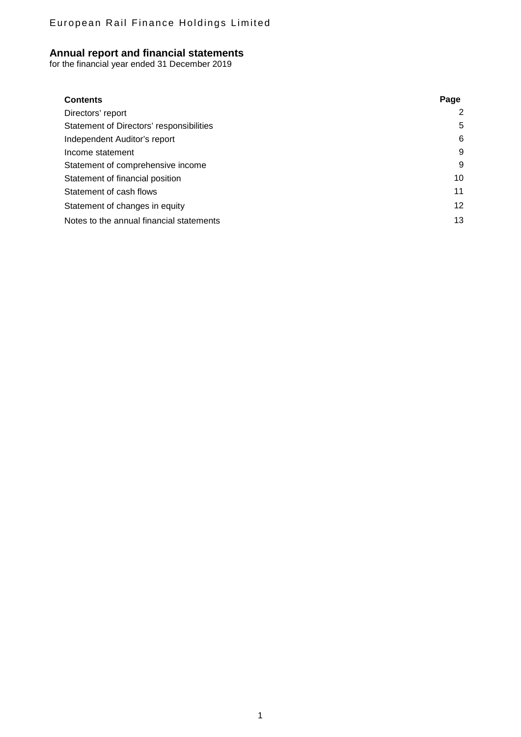# **Annual report and financial statements**

for the financial year ended 31 December 2019

| <b>Contents</b>                          | Page |
|------------------------------------------|------|
| Directors' report                        | 2    |
| Statement of Directors' responsibilities | 5    |
| Independent Auditor's report             | 6    |
| Income statement                         | 9    |
| Statement of comprehensive income        | 9    |
| Statement of financial position          | 10   |
| Statement of cash flows                  | 11   |
| Statement of changes in equity           | 12   |
| Notes to the annual financial statements | 13   |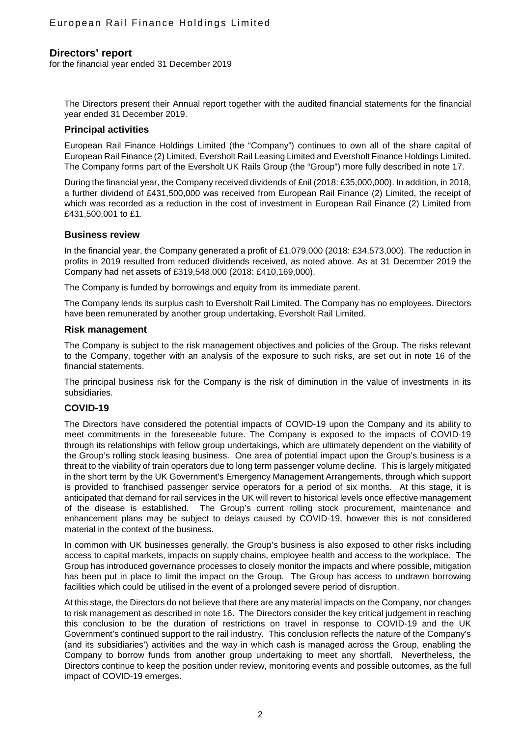# **Directors' report**

for the financial year ended 31 December 2019

The Directors present their Annual report together with the audited financial statements for the financial year ended 31 December 2019.

## **Principal activities**

European Rail Finance Holdings Limited (the "Company") continues to own all of the share capital of European Rail Finance (2) Limited, Eversholt Rail Leasing Limited and Eversholt Finance Holdings Limited. The Company forms part of the Eversholt UK Rails Group (the "Group") more fully described in note 17.

During the financial year, the Company received dividends of £nil (2018: £35,000,000). In addition, in 2018, a further dividend of £431,500,000 was received from European Rail Finance (2) Limited, the receipt of which was recorded as a reduction in the cost of investment in European Rail Finance (2) Limited from £431,500,001 to £1.

## **Business review**

In the financial year, the Company generated a profit of £1,079,000 (2018: £34,573,000). The reduction in profits in 2019 resulted from reduced dividends received, as noted above. As at 31 December 2019 the Company had net assets of £319,548,000 (2018: £410,169,000).

The Company is funded by borrowings and equity from its immediate parent.

The Company lends its surplus cash to Eversholt Rail Limited. The Company has no employees. Directors have been remunerated by another group undertaking, Eversholt Rail Limited.

## **Risk management**

The Company is subject to the risk management objectives and policies of the Group. The risks relevant to the Company, together with an analysis of the exposure to such risks, are set out in note 16 of the financial statements.

The principal business risk for the Company is the risk of diminution in the value of investments in its subsidiaries.

# **COVID-19**

The Directors have considered the potential impacts of COVID-19 upon the Company and its ability to meet commitments in the foreseeable future. The Company is exposed to the impacts of COVID-19 through its relationships with fellow group undertakings, which are ultimately dependent on the viability of the Group's rolling stock leasing business. One area of potential impact upon the Group's business is a threat to the viability of train operators due to long term passenger volume decline. This is largely mitigated in the short term by the UK Government's Emergency Management Arrangements, through which support is provided to franchised passenger service operators for a period of six months. At this stage, it is anticipated that demand for rail services in the UK will revert to historical levels once effective management of the disease is established. The Group's current rolling stock procurement, maintenance and enhancement plans may be subject to delays caused by COVID-19, however this is not considered material in the context of the business.

In common with UK businesses generally, the Group's business is also exposed to other risks including access to capital markets, impacts on supply chains, employee health and access to the workplace. The Group has introduced governance processes to closely monitor the impacts and where possible, mitigation has been put in place to limit the impact on the Group. The Group has access to undrawn borrowing facilities which could be utilised in the event of a prolonged severe period of disruption.

At this stage, the Directors do not believe that there are any material impacts on the Company, nor changes to risk management as described in note 16. The Directors consider the key critical judgement in reaching this conclusion to be the duration of restrictions on travel in response to COVID-19 and the UK Government's continued support to the rail industry. This conclusion reflects the nature of the Company's (and its subsidiaries') activities and the way in which cash is managed across the Group, enabling the Company to borrow funds from another group undertaking to meet any shortfall. Nevertheless, the Directors continue to keep the position under review, monitoring events and possible outcomes, as the full impact of COVID-19 emerges.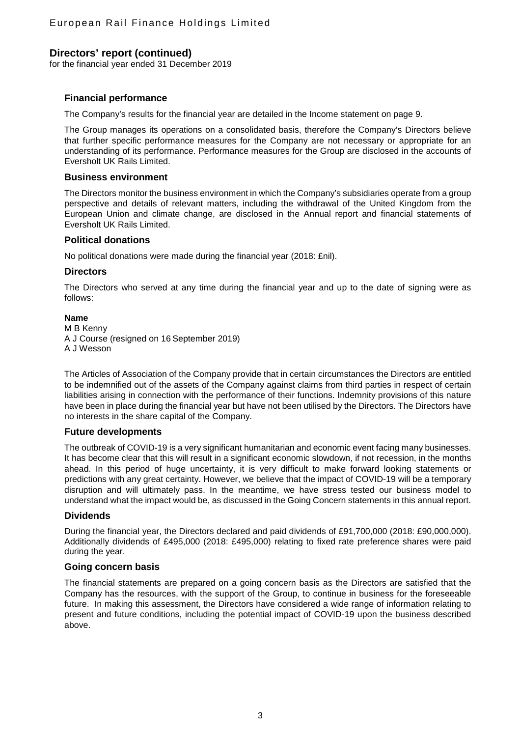# **Directors' report (continued)**

for the financial year ended 31 December 2019

## **Financial performance**

The Company's results for the financial year are detailed in the Income statement on page 9.

The Group manages its operations on a consolidated basis, therefore the Company's Directors believe that further specific performance measures for the Company are not necessary or appropriate for an understanding of its performance. Performance measures for the Group are disclosed in the accounts of Eversholt UK Rails Limited.

## **Business environment**

The Directors monitor the business environment in which the Company's subsidiaries operate from a group perspective and details of relevant matters, including the withdrawal of the United Kingdom from the European Union and climate change, are disclosed in the Annual report and financial statements of Eversholt UK Rails Limited.

## **Political donations**

No political donations were made during the financial year (2018: £nil).

## **Directors**

The Directors who served at any time during the financial year and up to the date of signing were as follows:

## **Name**

M B Kenny A J Course (resigned on 16 September 2019) A J Wesson

The Articles of Association of the Company provide that in certain circumstances the Directors are entitled to be indemnified out of the assets of the Company against claims from third parties in respect of certain liabilities arising in connection with the performance of their functions. Indemnity provisions of this nature have been in place during the financial year but have not been utilised by the Directors. The Directors have no interests in the share capital of the Company.

## **Future developments**

The outbreak of COVID-19 is a very significant humanitarian and economic event facing many businesses. It has become clear that this will result in a significant economic slowdown, if not recession, in the months ahead. In this period of huge uncertainty, it is very difficult to make forward looking statements or predictions with any great certainty. However, we believe that the impact of COVID-19 will be a temporary disruption and will ultimately pass. In the meantime, we have stress tested our business model to understand what the impact would be, as discussed in the Going Concern statements in this annual report.

## **Dividends**

During the financial year, the Directors declared and paid dividends of £91,700,000 (2018: £90,000,000). Additionally dividends of £495,000 (2018: £495,000) relating to fixed rate preference shares were paid during the year.

## **Going concern basis**

The financial statements are prepared on a going concern basis as the Directors are satisfied that the Company has the resources, with the support of the Group, to continue in business for the foreseeable future. In making this assessment, the Directors have considered a wide range of information relating to present and future conditions, including the potential impact of COVID-19 upon the business described above.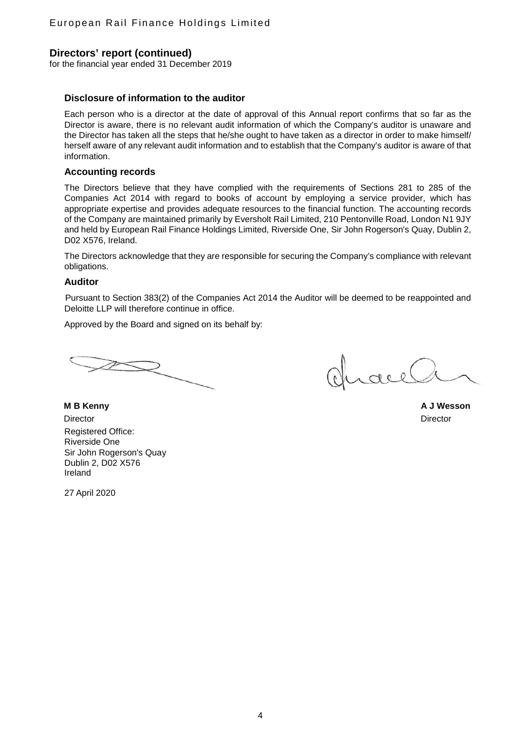# **Directors' report (continued)**

for the financial year ended 31 December 2019

## **Disclosure of information to the auditor**

Each person who is a director at the date of approval of this Annual report confirms that so far as the Director is aware, there is no relevant audit information of which the Company's auditor is unaware and the Director has taken all the steps that he/she ought to have taken as a director in order to make himself/ herself aware of any relevant audit information and to establish that the Company's auditor is aware of that information.

## **Accounting records**

The Directors believe that they have complied with the requirements of Sections 281 to 285 of the Companies Act 2014 with regard to books of account by employing a service provider, which has appropriate expertise and provides adequate resources to the financial function. The accounting records of the Company are maintained primarily by Eversholt Rail Limited, 210 Pentonville Road, London N1 9JY and held by European Rail Finance Holdings Limited, Riverside One, Sir John Rogerson's Quay, Dublin 2, D02 X576, Ireland.

The Directors acknowledge that they are responsible for securing the Company's compliance with relevant obligations.

## **Auditor**

Pursuant to Section 383(2) of the Companies Act 2014 the Auditor will be deemed to be reappointed and Deloitte LLP will therefore continue in office.

Approved by the Board and signed on its behalf by:

Indee

**M B Kenny A J Wesson**  Director Director Registered Office: Riverside One Sir John Rogerson's Quay Dublin 2, D02 X576 Ireland

27 April 2020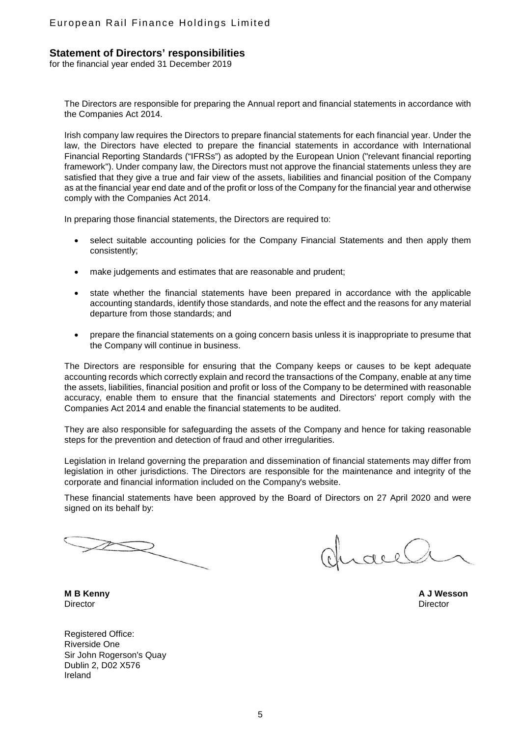## **Statement of Directors' responsibilities**

for the financial year ended 31 December 2019

The Directors are responsible for preparing the Annual report and financial statements in accordance with the Companies Act 2014.

Irish company law requires the Directors to prepare financial statements for each financial year. Under the law, the Directors have elected to prepare the financial statements in accordance with International Financial Reporting Standards ("IFRSs") as adopted by the European Union ("relevant financial reporting framework"). Under company law, the Directors must not approve the financial statements unless they are satisfied that they give a true and fair view of the assets, liabilities and financial position of the Company as at the financial year end date and of the profit or loss of the Company for the financial year and otherwise comply with the Companies Act 2014.

In preparing those financial statements, the Directors are required to:

- select suitable accounting policies for the Company Financial Statements and then apply them consistently;
- make judgements and estimates that are reasonable and prudent;
- state whether the financial statements have been prepared in accordance with the applicable accounting standards, identify those standards, and note the effect and the reasons for any material departure from those standards; and
- prepare the financial statements on a going concern basis unless it is inappropriate to presume that the Company will continue in business.

The Directors are responsible for ensuring that the Company keeps or causes to be kept adequate accounting records which correctly explain and record the transactions of the Company, enable at any time the assets, liabilities, financial position and profit or loss of the Company to be determined with reasonable accuracy, enable them to ensure that the financial statements and Directors' report comply with the Companies Act 2014 and enable the financial statements to be audited.

They are also responsible for safeguarding the assets of the Company and hence for taking reasonable steps for the prevention and detection of fraud and other irregularities.

Legislation in Ireland governing the preparation and dissemination of financial statements may differ from legislation in other jurisdictions. The Directors are responsible for the maintenance and integrity of the corporate and financial information included on the Company's website.

These financial statements have been approved by the Board of Directors on 27 April 2020 and were signed on its behalf by:

Thrace

**M B Kenny** A J Wesson **M B Kenny** 

Director Director

Registered Office: Riverside One Sir John Rogerson's Quay Dublin 2, D02 X576 Ireland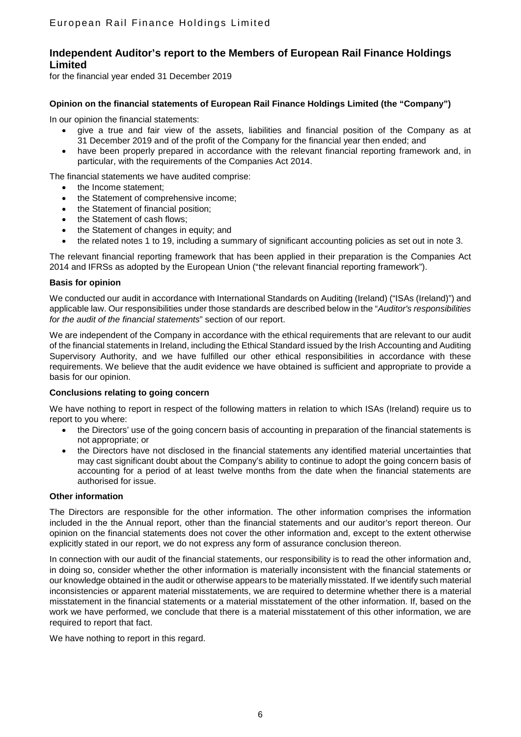# **Independent Auditor's report to the Members of European Rail Finance Holdings Limited**

for the financial year ended 31 December 2019

## **Opinion on the financial statements of European Rail Finance Holdings Limited (the "Company")**

In our opinion the financial statements:

- give a true and fair view of the assets, liabilities and financial position of the Company as at 31 December 2019 and of the profit of the Company for the financial year then ended; and
- have been properly prepared in accordance with the relevant financial reporting framework and, in particular, with the requirements of the Companies Act 2014.

The financial statements we have audited comprise:

- the Income statement;
- the Statement of comprehensive income;
- the Statement of financial position:
- the Statement of cash flows;
- the Statement of changes in equity; and
- the related notes 1 to 19, including a summary of significant accounting policies as set out in note 3.

The relevant financial reporting framework that has been applied in their preparation is the Companies Act 2014 and IFRSs as adopted by the European Union ("the relevant financial reporting framework").

#### **Basis for opinion**

We conducted our audit in accordance with International Standards on Auditing (Ireland) ("ISAs (Ireland)") and applicable law. Our responsibilities under those standards are described below in the "*Auditor's responsibilities for the audit of the financial statements*" section of our report.

We are independent of the Company in accordance with the ethical requirements that are relevant to our audit of the financial statements in Ireland, including the Ethical Standard issued by the Irish Accounting and Auditing Supervisory Authority, and we have fulfilled our other ethical responsibilities in accordance with these requirements. We believe that the audit evidence we have obtained is sufficient and appropriate to provide a basis for our opinion.

#### **Conclusions relating to going concern**

We have nothing to report in respect of the following matters in relation to which ISAs (Ireland) require us to report to you where:

- the Directors' use of the going concern basis of accounting in preparation of the financial statements is not appropriate; or
- the Directors have not disclosed in the financial statements any identified material uncertainties that may cast significant doubt about the Company's ability to continue to adopt the going concern basis of accounting for a period of at least twelve months from the date when the financial statements are authorised for issue.

### **Other information**

The Directors are responsible for the other information. The other information comprises the information included in the the Annual report, other than the financial statements and our auditor's report thereon. Our opinion on the financial statements does not cover the other information and, except to the extent otherwise explicitly stated in our report, we do not express any form of assurance conclusion thereon.

In connection with our audit of the financial statements, our responsibility is to read the other information and, in doing so, consider whether the other information is materially inconsistent with the financial statements or our knowledge obtained in the audit or otherwise appears to be materially misstated. If we identify such material inconsistencies or apparent material misstatements, we are required to determine whether there is a material misstatement in the financial statements or a material misstatement of the other information. If, based on the work we have performed, we conclude that there is a material misstatement of this other information, we are required to report that fact.

We have nothing to report in this regard.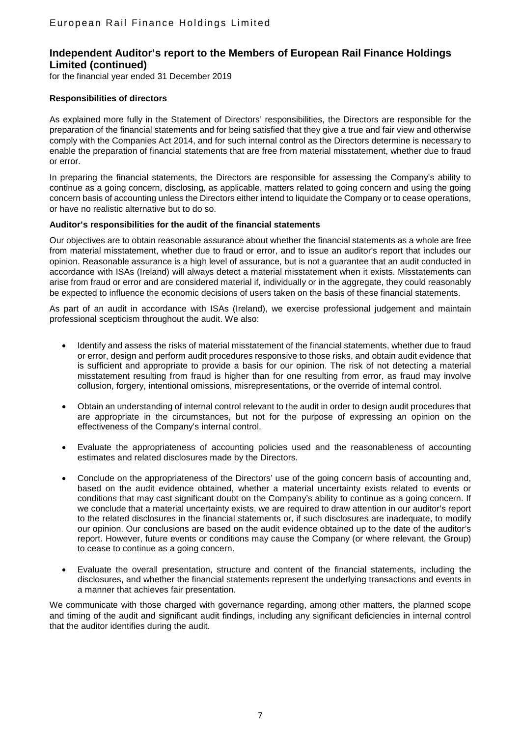# **Independent Auditor's report to the Members of European Rail Finance Holdings Limited (continued)**

for the financial year ended 31 December 2019

## **Responsibilities of directors**

As explained more fully in the Statement of Directors' responsibilities, the Directors are responsible for the preparation of the financial statements and for being satisfied that they give a true and fair view and otherwise comply with the Companies Act 2014, and for such internal control as the Directors determine is necessary to enable the preparation of financial statements that are free from material misstatement, whether due to fraud or error.

In preparing the financial statements, the Directors are responsible for assessing the Company's ability to continue as a going concern, disclosing, as applicable, matters related to going concern and using the going concern basis of accounting unless the Directors either intend to liquidate the Company or to cease operations, or have no realistic alternative but to do so.

## **Auditor's responsibilities for the audit of the financial statements**

Our objectives are to obtain reasonable assurance about whether the financial statements as a whole are free from material misstatement, whether due to fraud or error, and to issue an auditor's report that includes our opinion. Reasonable assurance is a high level of assurance, but is not a guarantee that an audit conducted in accordance with ISAs (Ireland) will always detect a material misstatement when it exists. Misstatements can arise from fraud or error and are considered material if, individually or in the aggregate, they could reasonably be expected to influence the economic decisions of users taken on the basis of these financial statements.

As part of an audit in accordance with ISAs (Ireland), we exercise professional judgement and maintain professional scepticism throughout the audit. We also:

- Identify and assess the risks of material misstatement of the financial statements, whether due to fraud or error, design and perform audit procedures responsive to those risks, and obtain audit evidence that is sufficient and appropriate to provide a basis for our opinion. The risk of not detecting a material misstatement resulting from fraud is higher than for one resulting from error, as fraud may involve collusion, forgery, intentional omissions, misrepresentations, or the override of internal control.
- Obtain an understanding of internal control relevant to the audit in order to design audit procedures that are appropriate in the circumstances, but not for the purpose of expressing an opinion on the effectiveness of the Company's internal control.
- Evaluate the appropriateness of accounting policies used and the reasonableness of accounting estimates and related disclosures made by the Directors.
- Conclude on the appropriateness of the Directors' use of the going concern basis of accounting and, based on the audit evidence obtained, whether a material uncertainty exists related to events or conditions that may cast significant doubt on the Company's ability to continue as a going concern. If we conclude that a material uncertainty exists, we are required to draw attention in our auditor's report to the related disclosures in the financial statements or, if such disclosures are inadequate, to modify our opinion. Our conclusions are based on the audit evidence obtained up to the date of the auditor's report. However, future events or conditions may cause the Company (or where relevant, the Group) to cease to continue as a going concern.
- Evaluate the overall presentation, structure and content of the financial statements, including the disclosures, and whether the financial statements represent the underlying transactions and events in a manner that achieves fair presentation.

We communicate with those charged with governance regarding, among other matters, the planned scope and timing of the audit and significant audit findings, including any significant deficiencies in internal control that the auditor identifies during the audit.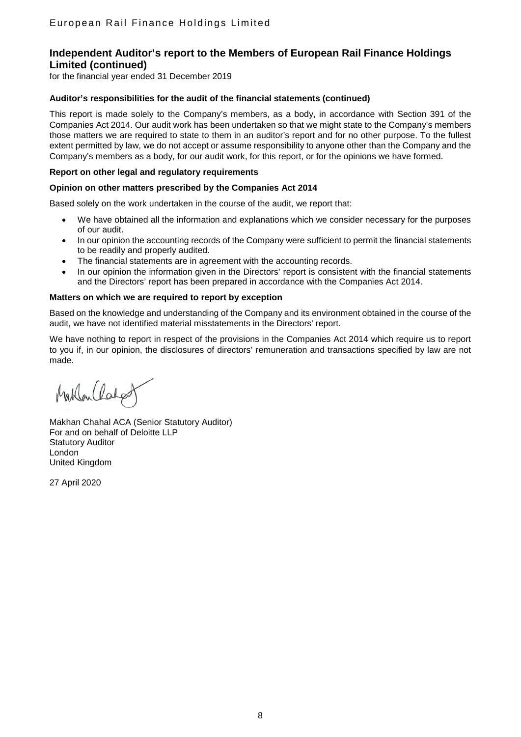# **Independent Auditor's report to the Members of European Rail Finance Holdings Limited (continued)**

for the financial year ended 31 December 2019

## **Auditor's responsibilities for the audit of the financial statements (continued)**

This report is made solely to the Company's members, as a body, in accordance with Section 391 of the Companies Act 2014. Our audit work has been undertaken so that we might state to the Company's members those matters we are required to state to them in an auditor's report and for no other purpose. To the fullest extent permitted by law, we do not accept or assume responsibility to anyone other than the Company and the Company's members as a body, for our audit work, for this report, or for the opinions we have formed.

## **Report on other legal and regulatory requirements**

## **Opinion on other matters prescribed by the Companies Act 2014**

Based solely on the work undertaken in the course of the audit, we report that:

- We have obtained all the information and explanations which we consider necessary for the purposes of our audit.
- In our opinion the accounting records of the Company were sufficient to permit the financial statements to be readily and properly audited.
- The financial statements are in agreement with the accounting records.
- In our opinion the information given in the Directors' report is consistent with the financial statements and the Directors' report has been prepared in accordance with the Companies Act 2014.

## **Matters on which we are required to report by exception**

Based on the knowledge and understanding of the Company and its environment obtained in the course of the audit, we have not identified material misstatements in the Directors' report.

We have nothing to report in respect of the provisions in the Companies Act 2014 which require us to report to you if, in our opinion, the disclosures of directors' remuneration and transactions specified by law are not made.

Maklon Clarged

Makhan Chahal ACA (Senior Statutory Auditor) For and on behalf of Deloitte LLP Statutory Auditor London United Kingdom

27 April 2020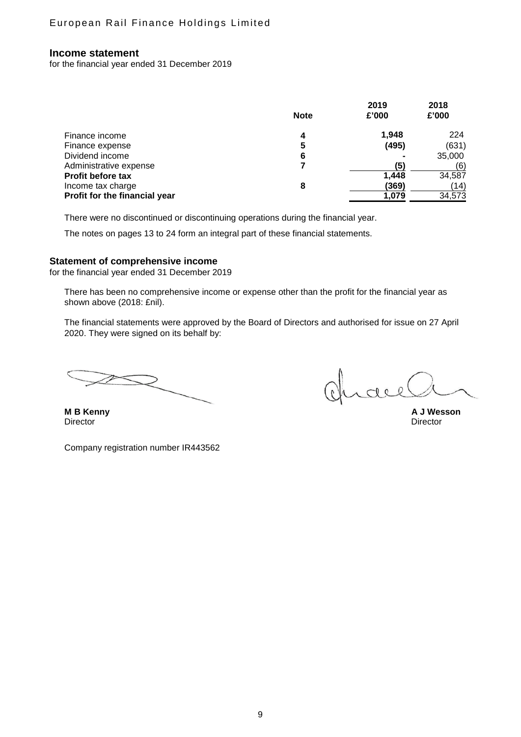# **Income statement**

for the financial year ended 31 December 2019

|                               | <b>Note</b> | 2019<br>£'000 | 2018<br>£'000 |
|-------------------------------|-------------|---------------|---------------|
| Finance income                | 4           | 1.948         | 224           |
| Finance expense               | 5           | (495)         | (631)         |
| Dividend income               | 6           |               | 35,000        |
| Administrative expense        | 7           | (5)           | (6)           |
| Profit before tax             |             | 1,448         | 34,587        |
| Income tax charge             | 8           | (369)         | (14)          |
| Profit for the financial year |             | 1,079         | 34,573        |

There were no discontinued or discontinuing operations during the financial year.

The notes on pages 13 to 24 form an integral part of these financial statements.

#### **Statement of comprehensive income**

for the financial year ended 31 December 2019

There has been no comprehensive income or expense other than the profit for the financial year as shown above (2018: £nil).

The financial statements were approved by the Board of Directors and authorised for issue on 27 April 2020. They were signed on its behalf by:

racel

**M B Kenny A J Wesson**<br>Director **CONFIDENTIAL CONFIDENTIAL CONFIDENT**<br>Director

Director Director

Company registration number IR443562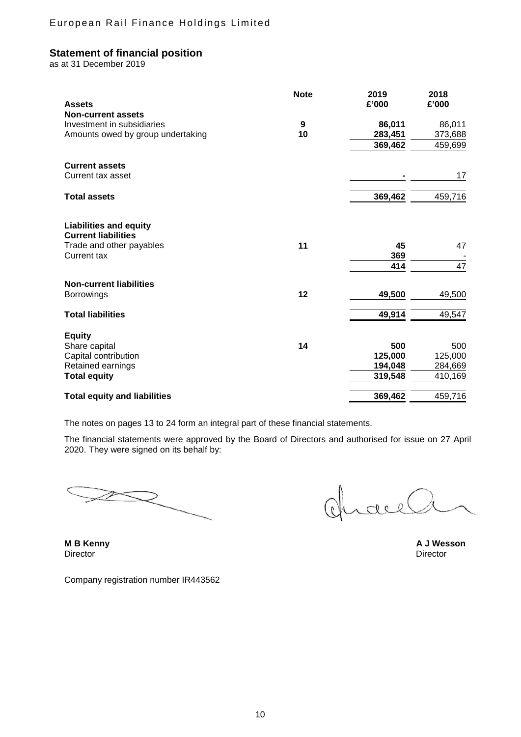# **Statement of financial position**

as at 31 December 2019

| <b>Assets</b>                       | <b>Note</b> | 2019<br>£'000 | 2018<br>£'000 |
|-------------------------------------|-------------|---------------|---------------|
| <b>Non-current assets</b>           |             |               |               |
| Investment in subsidiaries          | 9           |               |               |
|                                     |             | 86,011        | 86,011        |
| Amounts owed by group undertaking   | 10          | 283,451       | 373,688       |
|                                     |             | 369,462       | 459,699       |
| <b>Current assets</b>               |             |               |               |
| Current tax asset                   |             |               | 17            |
| <b>Total assets</b>                 |             | 369,462       | 459,716       |
|                                     |             |               |               |
| <b>Liabilities and equity</b>       |             |               |               |
| <b>Current liabilities</b>          |             |               |               |
| Trade and other payables            | 11          | 45            | 47            |
| Current tax                         |             | 369           |               |
|                                     |             | 414           | 47            |
| <b>Non-current liabilities</b>      |             |               |               |
| Borrowings                          | 12          | 49,500        | 49,500        |
| <b>Total liabilities</b>            |             | 49,914        | 49,547        |
| <b>Equity</b>                       |             |               |               |
| Share capital                       | 14          | 500           | 500           |
| Capital contribution                |             | 125,000       | 125,000       |
| Retained earnings                   |             | 194,048       | 284,669       |
| <b>Total equity</b>                 |             | 319,548       | 410,169       |
|                                     |             |               |               |
| <b>Total equity and liabilities</b> |             | 369,462       | 459,716       |

The notes on pages 13 to 24 form an integral part of these financial statements.

The financial statements were approved by the Board of Directors and authorised for issue on 27 April 2020. They were signed on its behalf by:

Director Director

rail

**M B Kenny A J Wesson**<br>Director **A J Wesson** 

Company registration number IR443562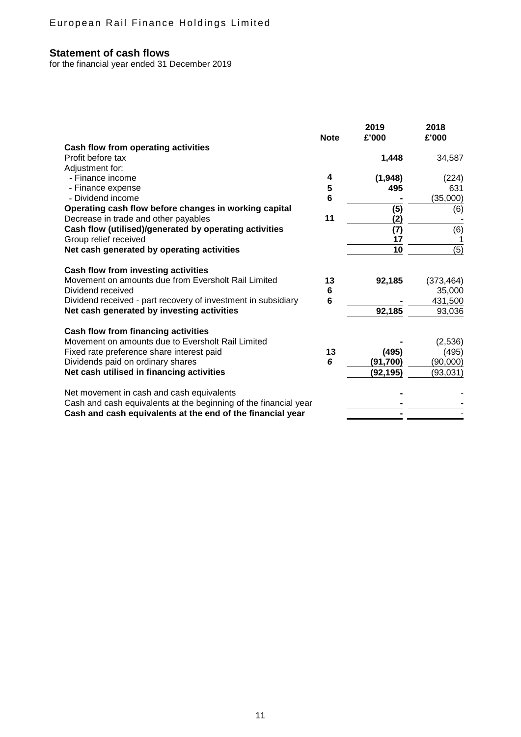# **Statement of cash flows**

for the financial year ended 31 December 2019

|                                                                                            | <b>Note</b> | 2019<br>£'000 | 2018<br>£'000 |
|--------------------------------------------------------------------------------------------|-------------|---------------|---------------|
| Cash flow from operating activities                                                        |             |               |               |
| Profit before tax                                                                          |             | 1,448         | 34,587        |
| Adjustment for:                                                                            |             |               |               |
| - Finance income                                                                           | 4           | (1,948)       | (224)         |
| - Finance expense                                                                          | 5           | 495           | 631           |
| - Dividend income                                                                          | 6           |               | (35,000)      |
| Operating cash flow before changes in working capital                                      |             | (5)           | (6)           |
| Decrease in trade and other payables                                                       | 11          | (2)           |               |
| Cash flow (utilised)/generated by operating activities                                     |             | (7)           | (6)           |
| Group relief received                                                                      |             | 17            |               |
| Net cash generated by operating activities                                                 |             | 10            | (5)           |
| Cash flow from investing activities<br>Movement on amounts due from Eversholt Rail Limited | 13          | 92,185        | (373, 464)    |
| Dividend received                                                                          | 6           |               | 35,000        |
| Dividend received - part recovery of investment in subsidiary                              | 6           |               | 431,500       |
| Net cash generated by investing activities                                                 |             | 92,185        | 93,036        |
| Cash flow from financing activities                                                        |             |               |               |
| Movement on amounts due to Eversholt Rail Limited                                          |             |               | (2,536)       |
| Fixed rate preference share interest paid                                                  | 13          | (495)         | (495)         |
| Dividends paid on ordinary shares                                                          | 6           | (91, 700)     | (90,000)      |
| Net cash utilised in financing activities                                                  |             | (92,195)      | (93,031)      |
|                                                                                            |             |               |               |
| Net movement in cash and cash equivalents                                                  |             |               |               |
| Cash and cash equivalents at the beginning of the financial year                           |             |               |               |
| Cash and cash equivalents at the end of the financial year                                 |             |               |               |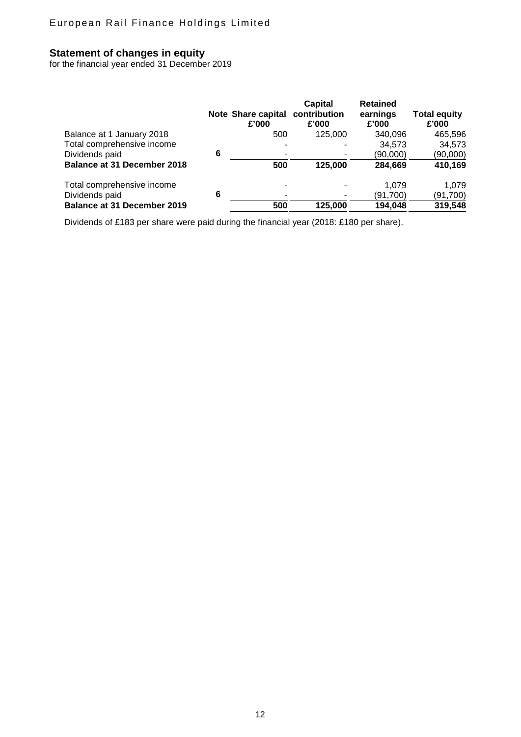# **Statement of changes in equity**

for the financial year ended 31 December 2019

|                                    |   | Note Share capital contribution<br>£'000 | <b>Capital</b><br>£'000 | <b>Retained</b><br>earnings<br>£'000 | <b>Total equity</b><br>£'000 |
|------------------------------------|---|------------------------------------------|-------------------------|--------------------------------------|------------------------------|
| Balance at 1 January 2018          |   | 500                                      | 125.000                 | 340,096                              | 465,596                      |
| Total comprehensive income         |   |                                          |                         | 34.573                               | 34,573                       |
| Dividends paid                     | 6 |                                          |                         | (90,000)                             | (90,000)                     |
| <b>Balance at 31 December 2018</b> |   | 500                                      | 125,000                 | 284.669                              | 410,169                      |
| Total comprehensive income         |   |                                          |                         | 1.079                                | 1.079                        |
| Dividends paid                     | 6 |                                          |                         | (91, 700)                            | (91, 700)                    |
| <b>Balance at 31 December 2019</b> |   | 500                                      | 125,000                 | 194,048                              | 319,548                      |

Dividends of £183 per share were paid during the financial year (2018: £180 per share).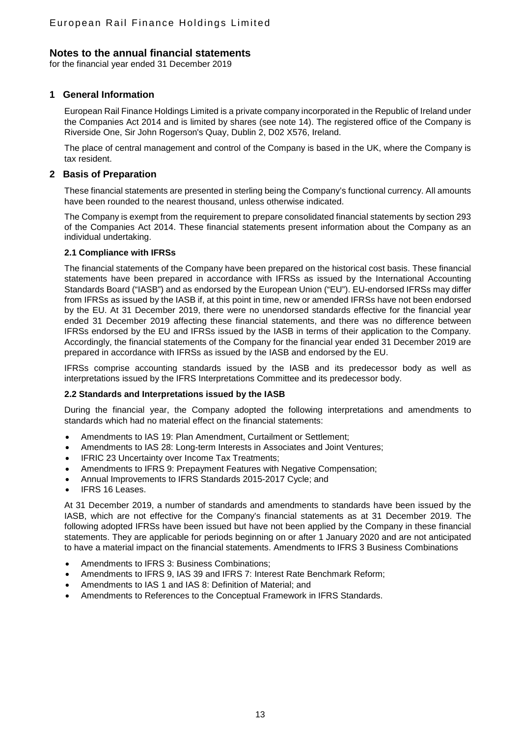# **Notes to the annual financial statements**

for the financial year ended 31 December 2019

## **1 General Information**

European Rail Finance Holdings Limited is a private company incorporated in the Republic of Ireland under the Companies Act 2014 and is limited by shares (see note 14). The registered office of the Company is Riverside One, Sir John Rogerson's Quay, Dublin 2, D02 X576, Ireland.

The place of central management and control of the Company is based in the UK, where the Company is tax resident.

## **2 Basis of Preparation**

These financial statements are presented in sterling being the Company's functional currency. All amounts have been rounded to the nearest thousand, unless otherwise indicated.

The Company is exempt from the requirement to prepare consolidated financial statements by section 293 of the Companies Act 2014. These financial statements present information about the Company as an individual undertaking.

## **2.1 Compliance with IFRSs**

The financial statements of the Company have been prepared on the historical cost basis. These financial statements have been prepared in accordance with IFRSs as issued by the International Accounting Standards Board ("IASB") and as endorsed by the European Union ("EU"). EU-endorsed IFRSs may differ from IFRSs as issued by the IASB if, at this point in time, new or amended IFRSs have not been endorsed by the EU. At 31 December 2019, there were no unendorsed standards effective for the financial year ended 31 December 2019 affecting these financial statements, and there was no difference between IFRSs endorsed by the EU and IFRSs issued by the IASB in terms of their application to the Company. Accordingly, the financial statements of the Company for the financial year ended 31 December 2019 are prepared in accordance with IFRSs as issued by the IASB and endorsed by the EU.

IFRSs comprise accounting standards issued by the IASB and its predecessor body as well as interpretations issued by the IFRS Interpretations Committee and its predecessor body.

## **2.2 Standards and Interpretations issued by the IASB**

During the financial year, the Company adopted the following interpretations and amendments to standards which had no material effect on the financial statements:

- Amendments to IAS 19: Plan Amendment, Curtailment or Settlement;
- Amendments to IAS 28: Long-term Interests in Associates and Joint Ventures;
- IFRIC 23 Uncertainty over Income Tax Treatments;
- Amendments to IFRS 9: Prepayment Features with Negative Compensation;
- Annual Improvements to IFRS Standards 2015-2017 Cycle; and
- IFRS 16 Leases.

At 31 December 2019, a number of standards and amendments to standards have been issued by the IASB, which are not effective for the Company's financial statements as at 31 December 2019. The following adopted IFRSs have been issued but have not been applied by the Company in these financial statements. They are applicable for periods beginning on or after 1 January 2020 and are not anticipated to have a material impact on the financial statements. Amendments to IFRS 3 Business Combinations

- Amendments to IFRS 3: Business Combinations:
- Amendments to IFRS 9, IAS 39 and IFRS 7: Interest Rate Benchmark Reform;
- Amendments to IAS 1 and IAS 8: Definition of Material; and
- Amendments to References to the Conceptual Framework in IFRS Standards.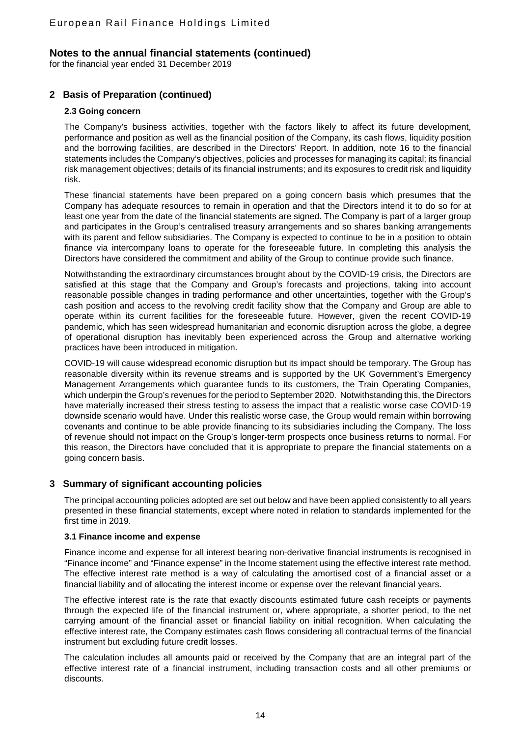for the financial year ended 31 December 2019

# **2 Basis of Preparation (continued)**

## **2.3 Going concern**

The Company's business activities, together with the factors likely to affect its future development, performance and position as well as the financial position of the Company, its cash flows, liquidity position and the borrowing facilities, are described in the Directors' Report. In addition, note 16 to the financial statements includes the Company's objectives, policies and processes for managing its capital; its financial risk management objectives; details of its financial instruments; and its exposures to credit risk and liquidity risk.

These financial statements have been prepared on a going concern basis which presumes that the Company has adequate resources to remain in operation and that the Directors intend it to do so for at least one year from the date of the financial statements are signed. The Company is part of a larger group and participates in the Group's centralised treasury arrangements and so shares banking arrangements with its parent and fellow subsidiaries. The Company is expected to continue to be in a position to obtain finance via intercompany loans to operate for the foreseeable future. In completing this analysis the Directors have considered the commitment and ability of the Group to continue provide such finance.

Notwithstanding the extraordinary circumstances brought about by the COVID-19 crisis, the Directors are satisfied at this stage that the Company and Group's forecasts and projections, taking into account reasonable possible changes in trading performance and other uncertainties, together with the Group's cash position and access to the revolving credit facility show that the Company and Group are able to operate within its current facilities for the foreseeable future. However, given the recent COVID-19 pandemic, which has seen widespread humanitarian and economic disruption across the globe, a degree of operational disruption has inevitably been experienced across the Group and alternative working practices have been introduced in mitigation.

COVID-19 will cause widespread economic disruption but its impact should be temporary. The Group has reasonable diversity within its revenue streams and is supported by the UK Government's Emergency Management Arrangements which guarantee funds to its customers, the Train Operating Companies, which underpin the Group's revenues for the period to September 2020. Notwithstanding this, the Directors have materially increased their stress testing to assess the impact that a realistic worse case COVID-19 downside scenario would have. Under this realistic worse case, the Group would remain within borrowing covenants and continue to be able provide financing to its subsidiaries including the Company. The loss of revenue should not impact on the Group's longer-term prospects once business returns to normal. For this reason, the Directors have concluded that it is appropriate to prepare the financial statements on a going concern basis.

## **3 Summary of significant accounting policies**

The principal accounting policies adopted are set out below and have been applied consistently to all years presented in these financial statements, except where noted in relation to standards implemented for the first time in 2019.

#### **3.1 Finance income and expense**

Finance income and expense for all interest bearing non-derivative financial instruments is recognised in "Finance income" and "Finance expense" in the Income statement using the effective interest rate method. The effective interest rate method is a way of calculating the amortised cost of a financial asset or a financial liability and of allocating the interest income or expense over the relevant financial years.

The effective interest rate is the rate that exactly discounts estimated future cash receipts or payments through the expected life of the financial instrument or, where appropriate, a shorter period, to the net carrying amount of the financial asset or financial liability on initial recognition. When calculating the effective interest rate, the Company estimates cash flows considering all contractual terms of the financial instrument but excluding future credit losses.

The calculation includes all amounts paid or received by the Company that are an integral part of the effective interest rate of a financial instrument, including transaction costs and all other premiums or discounts.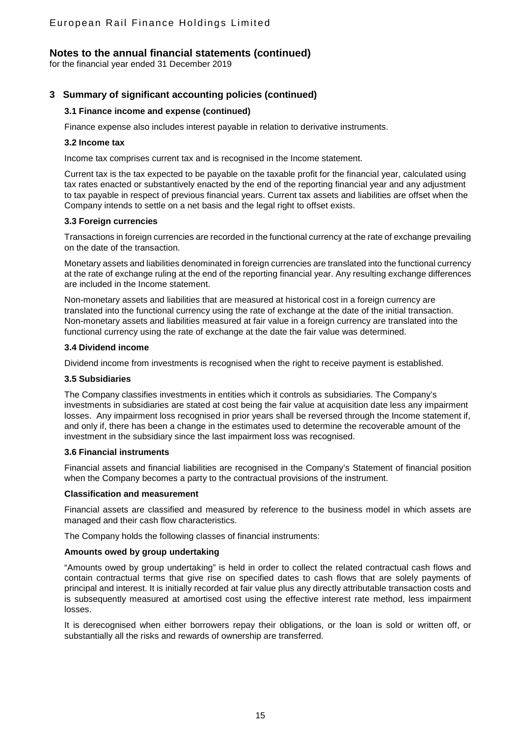for the financial year ended 31 December 2019

## **3 Summary of significant accounting policies (continued)**

## **3.1 Finance income and expense (continued)**

Finance expense also includes interest payable in relation to derivative instruments.

#### **3.2 Income tax**

Income tax comprises current tax and is recognised in the Income statement.

Current tax is the tax expected to be payable on the taxable profit for the financial year, calculated using tax rates enacted or substantively enacted by the end of the reporting financial year and any adjustment to tax payable in respect of previous financial years. Current tax assets and liabilities are offset when the Company intends to settle on a net basis and the legal right to offset exists.

## **3.3 Foreign currencies**

Transactions in foreign currencies are recorded in the functional currency at the rate of exchange prevailing on the date of the transaction.

Monetary assets and liabilities denominated in foreign currencies are translated into the functional currency at the rate of exchange ruling at the end of the reporting financial year. Any resulting exchange differences are included in the Income statement.

Non-monetary assets and liabilities that are measured at historical cost in a foreign currency are translated into the functional currency using the rate of exchange at the date of the initial transaction. Non-monetary assets and liabilities measured at fair value in a foreign currency are translated into the functional currency using the rate of exchange at the date the fair value was determined.

## **3.4 Dividend income**

Dividend income from investments is recognised when the right to receive payment is established.

#### **3.5 Subsidiaries**

The Company classifies investments in entities which it controls as subsidiaries. The Company's investments in subsidiaries are stated at cost being the fair value at acquisition date less any impairment losses. Any impairment loss recognised in prior years shall be reversed through the Income statement if, and only if, there has been a change in the estimates used to determine the recoverable amount of the investment in the subsidiary since the last impairment loss was recognised.

#### **3.6 Financial instruments**

Financial assets and financial liabilities are recognised in the Company's Statement of financial position when the Company becomes a party to the contractual provisions of the instrument.

#### **Classification and measurement**

Financial assets are classified and measured by reference to the business model in which assets are managed and their cash flow characteristics.

The Company holds the following classes of financial instruments:

#### **Amounts owed by group undertaking**

"Amounts owed by group undertaking" is held in order to collect the related contractual cash flows and contain contractual terms that give rise on specified dates to cash flows that are solely payments of principal and interest. It is initially recorded at fair value plus any directly attributable transaction costs and is subsequently measured at amortised cost using the effective interest rate method, less impairment losses.

It is derecognised when either borrowers repay their obligations, or the loan is sold or written off, or substantially all the risks and rewards of ownership are transferred.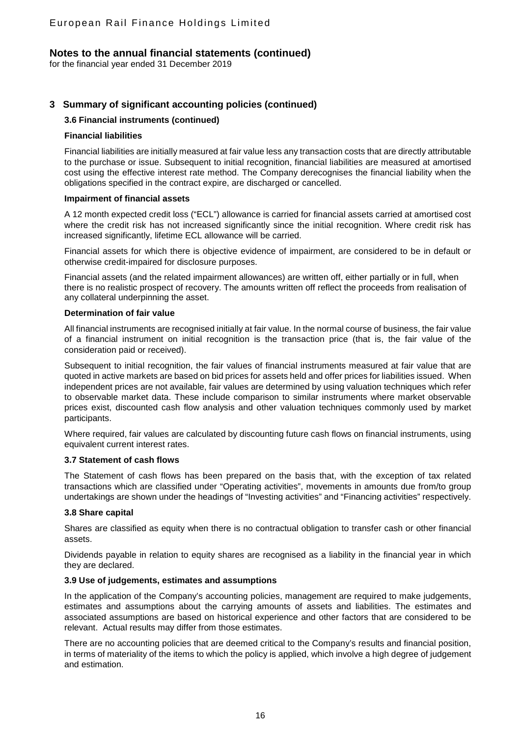for the financial year ended 31 December 2019

## **3 Summary of significant accounting policies (continued)**

## **3.6 Financial instruments (continued)**

#### **Financial liabilities**

Financial liabilities are initially measured at fair value less any transaction costs that are directly attributable to the purchase or issue. Subsequent to initial recognition, financial liabilities are measured at amortised cost using the effective interest rate method. The Company derecognises the financial liability when the obligations specified in the contract expire, are discharged or cancelled.

#### **Impairment of financial assets**

A 12 month expected credit loss ("ECL") allowance is carried for financial assets carried at amortised cost where the credit risk has not increased significantly since the initial recognition. Where credit risk has increased significantly, lifetime ECL allowance will be carried.

Financial assets for which there is objective evidence of impairment, are considered to be in default or otherwise credit-impaired for disclosure purposes.

Financial assets (and the related impairment allowances) are written off, either partially or in full, when there is no realistic prospect of recovery. The amounts written off reflect the proceeds from realisation of any collateral underpinning the asset.

#### **Determination of fair value**

All financial instruments are recognised initially at fair value. In the normal course of business, the fair value of a financial instrument on initial recognition is the transaction price (that is, the fair value of the consideration paid or received).

Subsequent to initial recognition, the fair values of financial instruments measured at fair value that are quoted in active markets are based on bid prices for assets held and offer prices for liabilities issued. When independent prices are not available, fair values are determined by using valuation techniques which refer to observable market data. These include comparison to similar instruments where market observable prices exist, discounted cash flow analysis and other valuation techniques commonly used by market participants.

Where required, fair values are calculated by discounting future cash flows on financial instruments, using equivalent current interest rates.

#### **3.7 Statement of cash flows**

The Statement of cash flows has been prepared on the basis that, with the exception of tax related transactions which are classified under "Operating activities", movements in amounts due from/to group undertakings are shown under the headings of "Investing activities" and "Financing activities" respectively.

#### **3.8 Share capital**

Shares are classified as equity when there is no contractual obligation to transfer cash or other financial assets.

Dividends payable in relation to equity shares are recognised as a liability in the financial year in which they are declared.

#### **3.9 Use of judgements, estimates and assumptions**

In the application of the Company's accounting policies, management are required to make judgements, estimates and assumptions about the carrying amounts of assets and liabilities. The estimates and associated assumptions are based on historical experience and other factors that are considered to be relevant. Actual results may differ from those estimates.

There are no accounting policies that are deemed critical to the Company's results and financial position, in terms of materiality of the items to which the policy is applied, which involve a high degree of judgement and estimation.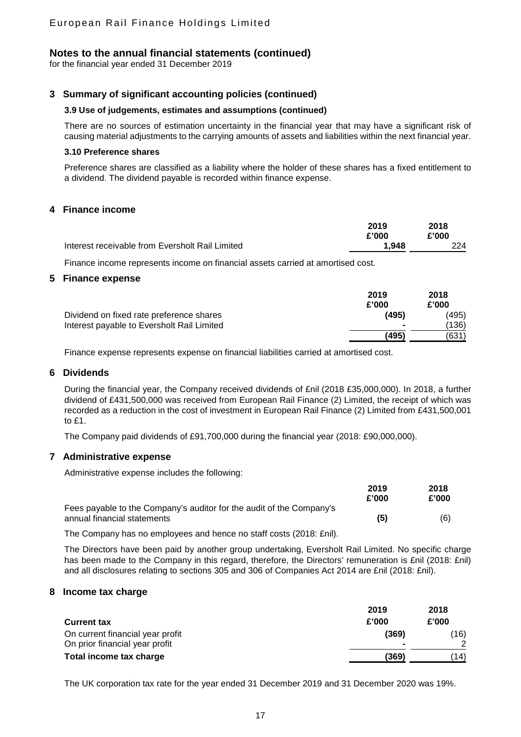for the financial year ended 31 December 2019

## **3 Summary of significant accounting policies (continued)**

### **3.9 Use of judgements, estimates and assumptions (continued)**

There are no sources of estimation uncertainty in the financial year that may have a significant risk of causing material adjustments to the carrying amounts of assets and liabilities within the next financial year.

#### **3.10 Preference shares**

Preference shares are classified as a liability where the holder of these shares has a fixed entitlement to a dividend. The dividend payable is recorded within finance expense.

## **4 Finance income**

|                                                 | 2019  | 2018  |
|-------------------------------------------------|-------|-------|
|                                                 | £'000 | £'000 |
| Interest receivable from Eversholt Rail Limited | 1.948 | 224   |

Finance income represents income on financial assets carried at amortised cost.

#### **5 Finance expense**

|                                            | 2019<br>£'000 | 2018<br>£'000 |
|--------------------------------------------|---------------|---------------|
| Dividend on fixed rate preference shares   | (495)         | (495)         |
| Interest payable to Eversholt Rail Limited |               | (136)         |
|                                            | (495)         | (631)         |

Finance expense represents expense on financial liabilities carried at amortised cost.

## **6 Dividends**

During the financial year, the Company received dividends of £nil (2018 £35,000,000). In 2018, a further dividend of £431,500,000 was received from European Rail Finance (2) Limited, the receipt of which was recorded as a reduction in the cost of investment in European Rail Finance (2) Limited from £431,500,001 to £1.

The Company paid dividends of £91,700,000 during the financial year (2018: £90,000,000).

#### **7 Administrative expense**

Administrative expense includes the following:

|                                                                                                     | 2019<br>£'000 | 2018<br>£'000 |
|-----------------------------------------------------------------------------------------------------|---------------|---------------|
| Fees payable to the Company's auditor for the audit of the Company's<br>annual financial statements | (5)           | (6)           |
|                                                                                                     |               |               |

The Company has no employees and hence no staff costs (2018: £nil).

The Directors have been paid by another group undertaking, Eversholt Rail Limited. No specific charge has been made to the Company in this regard, therefore, the Directors' remuneration is £nil (2018: £nil) and all disclosures relating to sections 305 and 306 of Companies Act 2014 are £nil (2018: £nil).

#### **8 Income tax charge**

|                                  | 2019  | 2018  |
|----------------------------------|-------|-------|
| <b>Current tax</b>               | £'000 | £'000 |
| On current financial year profit | (369) | (16)  |
| On prior financial year profit   |       |       |
| Total income tax charge          | (369) | '14)  |

The UK corporation tax rate for the year ended 31 December 2019 and 31 December 2020 was 19%.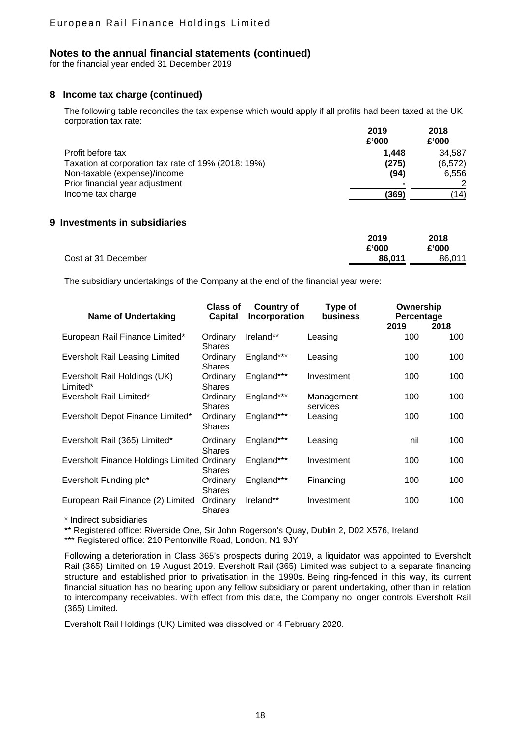for the financial year ended 31 December 2019

## **8 Income tax charge (continued)**

The following table reconciles the tax expense which would apply if all profits had been taxed at the UK corporation tax rate:

|                                                     | 2019  | 2018     |  |
|-----------------------------------------------------|-------|----------|--|
|                                                     | £'000 | £'000    |  |
| Profit before tax                                   | 1.448 | 34,587   |  |
| Taxation at corporation tax rate of 19% (2018: 19%) | (275) | (6, 572) |  |
| Non-taxable (expense)/income                        | (94)  | 6,556    |  |
| Prior financial year adjustment                     |       | 2        |  |
| Income tax charge                                   | (369) | (14)     |  |

## **9 Investments in subsidiaries**

|                     | 2019   | 2018   |
|---------------------|--------|--------|
|                     | £'000  | £'000  |
| Cost at 31 December | 86.011 | 86,011 |

The subsidiary undertakings of the Company at the end of the financial year were:

| <b>Name of Undertaking</b>                         | <b>Class of</b><br>Capital | <b>Country of</b><br>Incorporation | Type of<br>business    | Ownership<br>Percentage<br>2019 | 2018 |
|----------------------------------------------------|----------------------------|------------------------------------|------------------------|---------------------------------|------|
| European Rail Finance Limited*                     | Ordinary<br><b>Shares</b>  | Ireland**                          | Leasing                | 100                             | 100  |
| <b>Eversholt Rail Leasing Limited</b>              | Ordinary<br><b>Shares</b>  | England***                         | Leasing                | 100                             | 100  |
| Eversholt Rail Holdings (UK)<br>Limited*           | Ordinary<br><b>Shares</b>  | England***                         | Investment             | 100                             | 100  |
| Eversholt Rail Limited*                            | Ordinary<br><b>Shares</b>  | England***                         | Management<br>services | 100                             | 100  |
| Eversholt Depot Finance Limited*                   | Ordinary<br><b>Shares</b>  | England***                         | Leasing                | 100                             | 100  |
| Eversholt Rail (365) Limited*                      | Ordinary<br><b>Shares</b>  | England***                         | Leasing                | nil                             | 100  |
| <b>Eversholt Finance Holdings Limited Ordinary</b> | <b>Shares</b>              | England***                         | Investment             | 100                             | 100  |
| Eversholt Funding plc*                             | Ordinary<br>Shares         | England***                         | Financing              | 100                             | 100  |
| European Rail Finance (2) Limited                  | Ordinary<br><b>Shares</b>  | Ireland**                          | Investment             | 100                             | 100  |

\* Indirect subsidiaries

\*\* Registered office: Riverside One, Sir John Rogerson's Quay, Dublin 2, D02 X576, Ireland

\*\*\* Registered office: 210 Pentonville Road, London, N1 9JY

Following a deterioration in Class 365's prospects during 2019, a liquidator was appointed to Eversholt Rail (365) Limited on 19 August 2019. Eversholt Rail (365) Limited was subject to a separate financing structure and established prior to privatisation in the 1990s. Being ring-fenced in this way, its current financial situation has no bearing upon any fellow subsidiary or parent undertaking, other than in relation to intercompany receivables. With effect from this date, the Company no longer controls Eversholt Rail (365) Limited.

Eversholt Rail Holdings (UK) Limited was dissolved on 4 February 2020.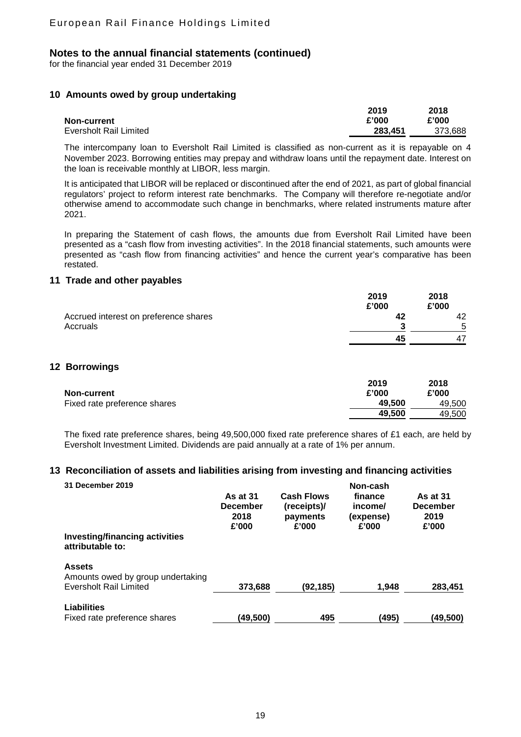for the financial year ended 31 December 2019

## **10 Amounts owed by group undertaking**

|                        | 2019    | 2018    |
|------------------------|---------|---------|
| Non-current            | £'000   | £'000   |
| Eversholt Rail Limited | 283.451 | 373.688 |

The intercompany loan to Eversholt Rail Limited is classified as non-current as it is repayable on 4 November 2023. Borrowing entities may prepay and withdraw loans until the repayment date. Interest on the loan is receivable monthly at LIBOR, less margin.

It is anticipated that LIBOR will be replaced or discontinued after the end of 2021, as part of global financial regulators' project to reform interest rate benchmarks. The Company will therefore re-negotiate and/or otherwise amend to accommodate such change in benchmarks, where related instruments mature after 2021.

In preparing the Statement of cash flows, the amounts due from Eversholt Rail Limited have been presented as a "cash flow from investing activities". In the 2018 financial statements, such amounts were presented as "cash flow from financing activities" and hence the current year's comparative has been restated.

## **11 Trade and other payables**

|                                       | 2019  | 2018  |
|---------------------------------------|-------|-------|
|                                       | £'000 | £'000 |
| Accrued interest on preference shares | 42    | 42    |
| Accruals                              |       | 5     |
|                                       | 45    | 47    |

## **12 Borrowings**

|                              | 2019   | 2018   |
|------------------------------|--------|--------|
| <b>Non-current</b>           | £'000  | £'000  |
| Fixed rate preference shares | 49.500 | 49.500 |
|                              | 49.500 | 49,500 |

The fixed rate preference shares, being 49,500,000 fixed rate preference shares of £1 each, are held by Eversholt Investment Limited. Dividends are paid annually at a rate of 1% per annum.

## **13 Reconciliation of assets and liabilities arising from investing and financing activities**

| 31 December 2019<br><b>Investing/financing activities</b><br>attributable to: | <b>As at 31</b><br><b>December</b><br>2018<br>£'000 | <b>Cash Flows</b><br>(receipts)/<br>payments<br>£'000 | Non-cash<br>finance<br>income/<br>(expense)<br>£'000 | <b>As at 31</b><br><b>December</b><br>2019<br>£'000 |
|-------------------------------------------------------------------------------|-----------------------------------------------------|-------------------------------------------------------|------------------------------------------------------|-----------------------------------------------------|
| <b>Assets</b><br>Amounts owed by group undertaking<br>Eversholt Rail Limited  | 373,688                                             | (92,185)                                              | 1,948                                                | 283,451                                             |
| Liabilities<br>Fixed rate preference shares                                   | (49,500)                                            | 495                                                   | (495)                                                | (49,500)                                            |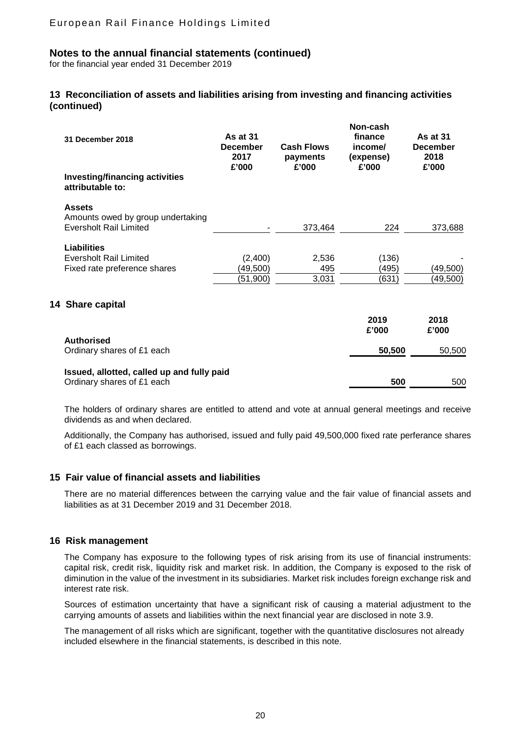for the financial year ended 31 December 2019

## **13 Reconciliation of assets and liabilities arising from investing and financing activities (continued)**

| 31 December 2018                                          | <b>As at 31</b><br><b>December</b><br>2017<br>£'000 | <b>Cash Flows</b><br>payments<br>£'000 | Non-cash<br>finance<br>income/<br>(expense)<br>£'000 | <b>As at 31</b><br><b>December</b><br>2018<br>£'000 |
|-----------------------------------------------------------|-----------------------------------------------------|----------------------------------------|------------------------------------------------------|-----------------------------------------------------|
| <b>Investing/financing activities</b><br>attributable to: |                                                     |                                        |                                                      |                                                     |
| <b>Assets</b><br>Amounts owed by group undertaking        |                                                     |                                        |                                                      |                                                     |
| Eversholt Rail Limited                                    |                                                     | 373,464                                | 224                                                  | 373,688                                             |
| <b>Liabilities</b>                                        |                                                     |                                        |                                                      |                                                     |
| <b>Eversholt Rail Limited</b>                             | (2,400)                                             | 2,536                                  | (136)                                                |                                                     |
| Fixed rate preference shares                              | (49,500)                                            | 495                                    | (495)                                                | (49,500)                                            |
|                                                           | (51,900)                                            | 3,031                                  | (631)                                                | (49,500)                                            |
| 14 Share capital                                          |                                                     |                                        |                                                      |                                                     |
|                                                           |                                                     |                                        | 2019<br>£'000                                        | 2018<br>£'000                                       |
| <b>Authorised</b>                                         |                                                     |                                        |                                                      |                                                     |
| Ordinary shares of £1 each                                |                                                     |                                        | 50,500                                               | 50,500                                              |
| Issued, allotted, called up and fully paid                |                                                     |                                        |                                                      |                                                     |

The holders of ordinary shares are entitled to attend and vote at annual general meetings and receive dividends as and when declared.

Ordinary shares of £1 each **500** 500

Additionally, the Company has authorised, issued and fully paid 49,500,000 fixed rate perferance shares of £1 each classed as borrowings.

## **15 Fair value of financial assets and liabilities**

There are no material differences between the carrying value and the fair value of financial assets and liabilities as at 31 December 2019 and 31 December 2018.

## **16 Risk management**

The Company has exposure to the following types of risk arising from its use of financial instruments: capital risk, credit risk, liquidity risk and market risk. In addition, the Company is exposed to the risk of diminution in the value of the investment in its subsidiaries. Market risk includes foreign exchange risk and interest rate risk.

Sources of estimation uncertainty that have a significant risk of causing a material adjustment to the carrying amounts of assets and liabilities within the next financial year are disclosed in note 3.9.

The management of all risks which are significant, together with the quantitative disclosures not already included elsewhere in the financial statements, is described in this note.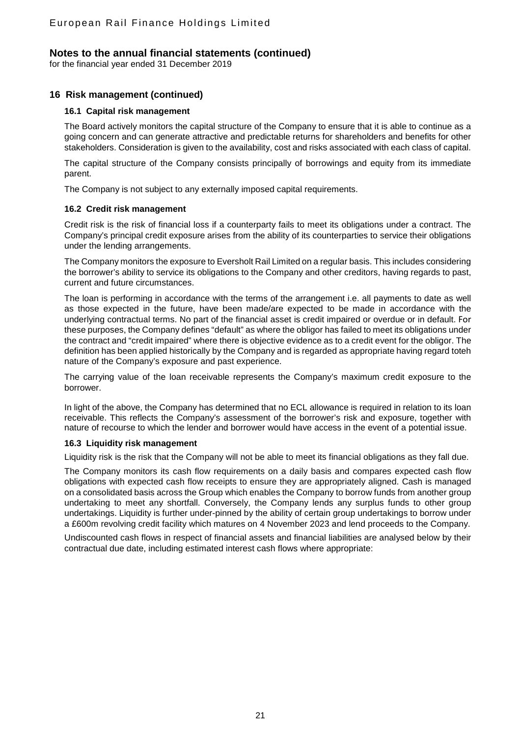for the financial year ended 31 December 2019

## **16 Risk management (continued)**

#### **16.1 Capital risk management**

The Board actively monitors the capital structure of the Company to ensure that it is able to continue as a going concern and can generate attractive and predictable returns for shareholders and benefits for other stakeholders. Consideration is given to the availability, cost and risks associated with each class of capital.

The capital structure of the Company consists principally of borrowings and equity from its immediate parent.

The Company is not subject to any externally imposed capital requirements.

## **16.2 Credit risk management**

Credit risk is the risk of financial loss if a counterparty fails to meet its obligations under a contract. The Company's principal credit exposure arises from the ability of its counterparties to service their obligations under the lending arrangements.

The Company monitors the exposure to Eversholt Rail Limited on a regular basis. This includes considering the borrower's ability to service its obligations to the Company and other creditors, having regards to past, current and future circumstances.

The loan is performing in accordance with the terms of the arrangement i.e. all payments to date as well as those expected in the future, have been made/are expected to be made in accordance with the underlying contractual terms. No part of the financial asset is credit impaired or overdue or in default. For these purposes, the Company defines "default" as where the obligor has failed to meet its obligations under the contract and "credit impaired" where there is objective evidence as to a credit event for the obligor. The definition has been applied historically by the Company and is regarded as appropriate having regard toteh nature of the Company's exposure and past experience.

The carrying value of the loan receivable represents the Company's maximum credit exposure to the borrower.

In light of the above, the Company has determined that no ECL allowance is required in relation to its loan receivable. This reflects the Company's assessment of the borrower's risk and exposure, together with nature of recourse to which the lender and borrower would have access in the event of a potential issue.

#### **16.3 Liquidity risk management**

Liquidity risk is the risk that the Company will not be able to meet its financial obligations as they fall due.

The Company monitors its cash flow requirements on a daily basis and compares expected cash flow obligations with expected cash flow receipts to ensure they are appropriately aligned. Cash is managed on a consolidated basis across the Group which enables the Company to borrow funds from another group undertaking to meet any shortfall. Conversely, the Company lends any surplus funds to other group undertakings. Liquidity is further under-pinned by the ability of certain group undertakings to borrow under a £600m revolving credit facility which matures on 4 November 2023 and lend proceeds to the Company.

Undiscounted cash flows in respect of financial assets and financial liabilities are analysed below by their contractual due date, including estimated interest cash flows where appropriate: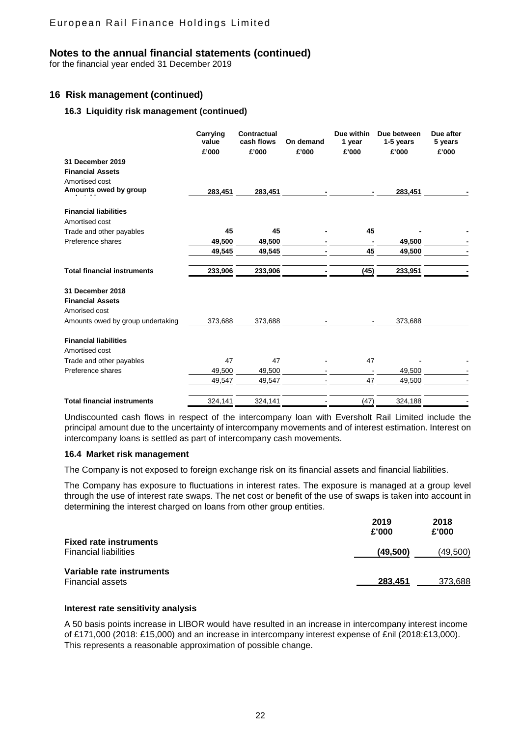for the financial year ended 31 December 2019

## **16 Risk management (continued)**

## **16.3 Liquidity risk management (continued)**

|                                    | Carrying<br>value<br>£'000 | <b>Contractual</b><br>cash flows<br>£'000 | On demand<br>£'000 | Due within<br>1 year<br>£'000 | Due between<br>1-5 years<br>£'000 | Due after<br>5 years<br>£'000 |
|------------------------------------|----------------------------|-------------------------------------------|--------------------|-------------------------------|-----------------------------------|-------------------------------|
| 31 December 2019                   |                            |                                           |                    |                               |                                   |                               |
| <b>Financial Assets</b>            |                            |                                           |                    |                               |                                   |                               |
| Amortised cost                     |                            |                                           |                    |                               |                                   |                               |
| Amounts owed by group              | 283,451                    | 283,451                                   |                    |                               | 283,451                           |                               |
| <b>Financial liabilities</b>       |                            |                                           |                    |                               |                                   |                               |
| Amortised cost                     |                            |                                           |                    |                               |                                   |                               |
| Trade and other payables           | 45                         | 45                                        |                    | 45                            |                                   |                               |
| Preference shares                  | 49,500                     | 49,500                                    |                    |                               | 49,500                            |                               |
|                                    | 49,545                     | 49,545                                    |                    | 45                            | 49,500                            |                               |
| <b>Total financial instruments</b> | 233,906                    | 233,906                                   |                    | (45)                          | 233,951                           |                               |
| 31 December 2018                   |                            |                                           |                    |                               |                                   |                               |
| <b>Financial Assets</b>            |                            |                                           |                    |                               |                                   |                               |
| Amorised cost                      |                            |                                           |                    |                               |                                   |                               |
| Amounts owed by group undertaking  | 373,688                    | 373,688                                   |                    |                               | 373,688                           |                               |
| <b>Financial liabilities</b>       |                            |                                           |                    |                               |                                   |                               |
| Amortised cost                     |                            |                                           |                    |                               |                                   |                               |
| Trade and other payables           | 47                         | 47                                        |                    | 47                            |                                   |                               |
| Preference shares                  | 49,500                     | 49,500                                    |                    |                               | 49,500                            |                               |
|                                    | 49,547                     | 49,547                                    |                    | 47                            | 49,500                            |                               |
| <b>Total financial instruments</b> | 324,141                    | 324,141                                   |                    | (47)                          | 324,188                           |                               |

Undiscounted cash flows in respect of the intercompany loan with Eversholt Rail Limited include the principal amount due to the uncertainty of intercompany movements and of interest estimation. Interest on intercompany loans is settled as part of intercompany cash movements.

#### **16.4 Market risk management**

The Company is not exposed to foreign exchange risk on its financial assets and financial liabilities.

The Company has exposure to fluctuations in interest rates. The exposure is managed at a group level through the use of interest rate swaps. The net cost or benefit of the use of swaps is taken into account in determining the interest charged on loans from other group entities.

|                                                               | 2019<br>£'000 | 2018<br>£'000 |
|---------------------------------------------------------------|---------------|---------------|
| <b>Fixed rate instruments</b><br><b>Financial liabilities</b> | (49, 500)     | (49, 500)     |
| Variable rate instruments<br><b>Financial assets</b>          | 283.451       | 373.688       |

#### **Interest rate sensitivity analysis**

A 50 basis points increase in LIBOR would have resulted in an increase in intercompany interest income of £171,000 (2018: £15,000) and an increase in intercompany interest expense of £nil (2018:£13,000). This represents a reasonable approximation of possible change.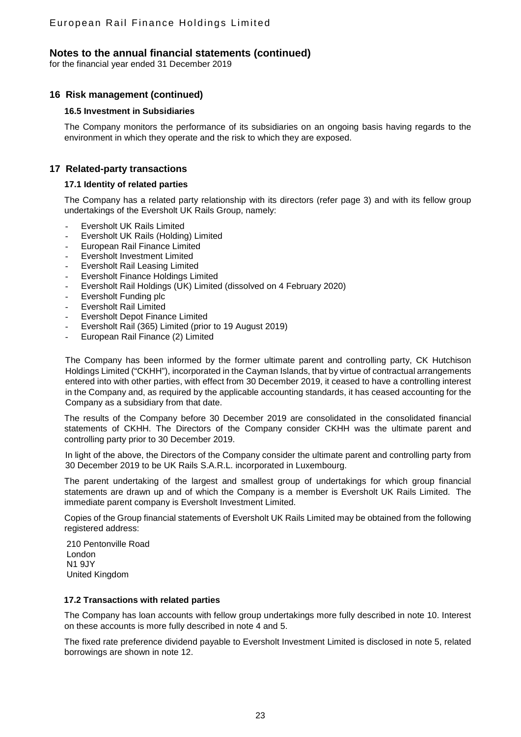for the financial year ended 31 December 2019

## **16 Risk management (continued)**

## **16.5 Investment in Subsidiaries**

The Company monitors the performance of its subsidiaries on an ongoing basis having regards to the environment in which they operate and the risk to which they are exposed.

## **17 Related-party transactions**

## **17.1 Identity of related parties**

The Company has a related party relationship with its directors (refer page 3) and with its fellow group undertakings of the Eversholt UK Rails Group, namely:

- Eversholt UK Rails Limited
- Eversholt UK Rails (Holding) Limited
- European Rail Finance Limited
- Eversholt Investment Limited
- Eversholt Rail Leasing Limited
- Eversholt Finance Holdings Limited
- Eversholt Rail Holdings (UK) Limited (dissolved on 4 February 2020)
- Eversholt Funding plc
- Eversholt Rail Limited
- Eversholt Depot Finance Limited
- Eversholt Rail (365) Limited (prior to 19 August 2019)
- European Rail Finance (2) Limited

The Company has been informed by the former ultimate parent and controlling party, CK Hutchison Holdings Limited ("CKHH"), incorporated in the Cayman Islands, that by virtue of contractual arrangements entered into with other parties, with effect from 30 December 2019, it ceased to have a controlling interest in the Company and, as required by the applicable accounting standards, it has ceased accounting for the Company as a subsidiary from that date.

The results of the Company before 30 December 2019 are consolidated in the consolidated financial statements of CKHH. The Directors of the Company consider CKHH was the ultimate parent and controlling party prior to 30 December 2019.

In light of the above, the Directors of the Company consider the ultimate parent and controlling party from 30 December 2019 to be UK Rails S.A.R.L. incorporated in Luxembourg.

The parent undertaking of the largest and smallest group of undertakings for which group financial statements are drawn up and of which the Company is a member is Eversholt UK Rails Limited. The immediate parent company is Eversholt Investment Limited.

Copies of the Group financial statements of Eversholt UK Rails Limited may be obtained from the following registered address:

210 Pentonville Road London N1 9JY United Kingdom

## **17.2 Transactions with related parties**

The Company has loan accounts with fellow group undertakings more fully described in note 10. Interest on these accounts is more fully described in note 4 and 5.

The fixed rate preference dividend payable to Eversholt Investment Limited is disclosed in note 5, related borrowings are shown in note 12.